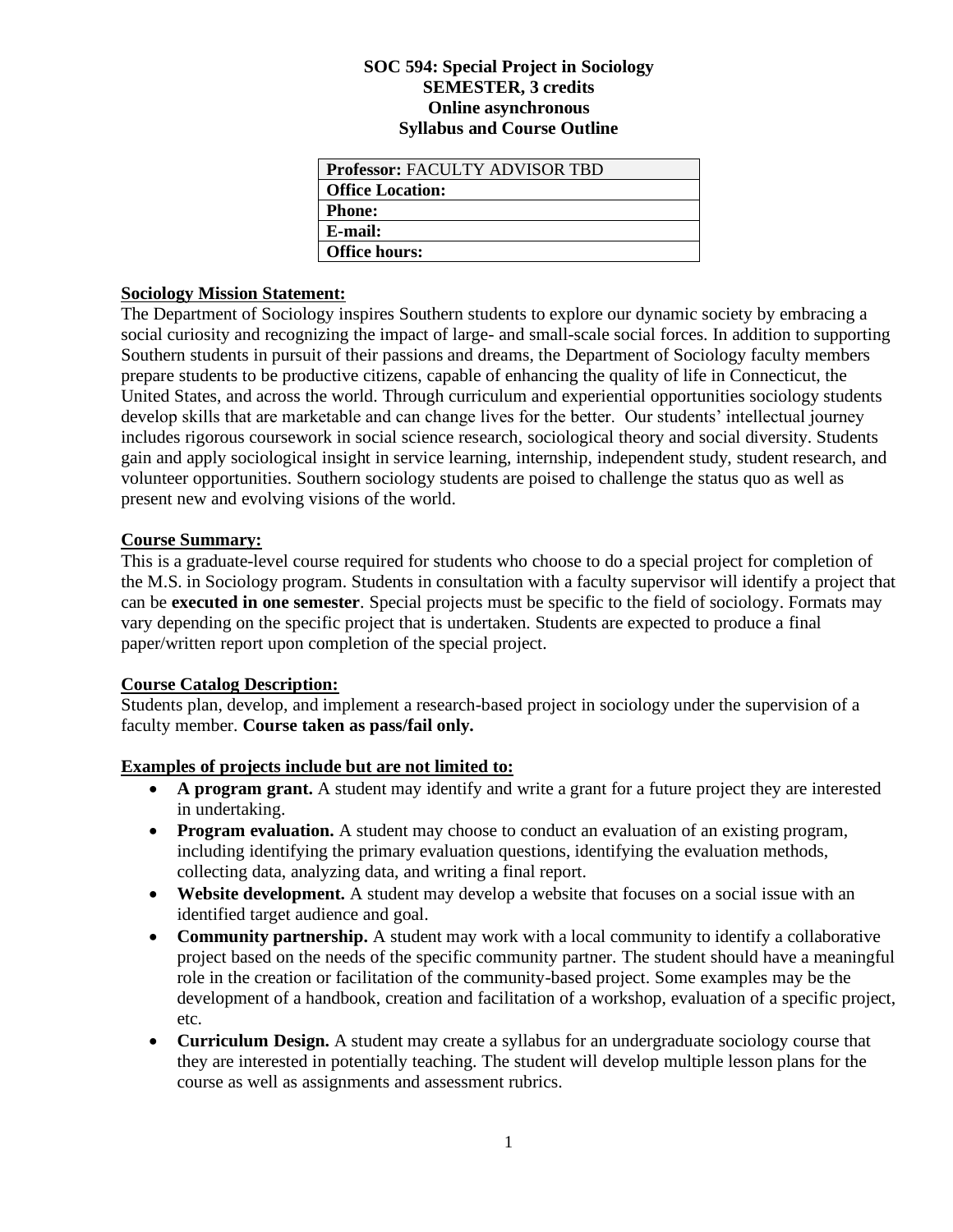#### **SOC 594: Special Project in Sociology SEMESTER, 3 credits Online asynchronous Syllabus and Course Outline**

| <b>Professor: FACULTY ADVISOR TBD</b> |
|---------------------------------------|
| Office Location:                      |
| <b>Phone:</b>                         |
| E-mail:                               |
| <b>Office hours:</b>                  |

#### **Sociology Mission Statement:**

The Department of Sociology inspires Southern students to explore our dynamic society by embracing a social curiosity and recognizing the impact of large- and small-scale social forces. In addition to supporting Southern students in pursuit of their passions and dreams, the Department of Sociology faculty members prepare students to be productive citizens, capable of enhancing the quality of life in Connecticut, the United States, and across the world. Through curriculum and experiential opportunities sociology students develop skills that are marketable and can change lives for the better. Our students' intellectual journey includes rigorous coursework in social science research, sociological theory and social diversity. Students gain and apply sociological insight in service learning, internship, independent study, student research, and volunteer opportunities. Southern sociology students are poised to challenge the status quo as well as present new and evolving visions of the world.

### **Course Summary:**

This is a graduate-level course required for students who choose to do a special project for completion of the M.S. in Sociology program. Students in consultation with a faculty supervisor will identify a project that can be **executed in one semester**. Special projects must be specific to the field of sociology. Formats may vary depending on the specific project that is undertaken. Students are expected to produce a final paper/written report upon completion of the special project.

# **Course Catalog Description:**

Students plan, develop, and implement a research-based project in sociology under the supervision of a faculty member. **Course taken as pass/fail only.**

# **Examples of projects include but are not limited to:**

- **A program grant.** A student may identify and write a grant for a future project they are interested in undertaking.
- **Program evaluation.** A student may choose to conduct an evaluation of an existing program, including identifying the primary evaluation questions, identifying the evaluation methods, collecting data, analyzing data, and writing a final report.
- **Website development.** A student may develop a website that focuses on a social issue with an identified target audience and goal.
- **Community partnership.** A student may work with a local community to identify a collaborative project based on the needs of the specific community partner. The student should have a meaningful role in the creation or facilitation of the community-based project. Some examples may be the development of a handbook, creation and facilitation of a workshop, evaluation of a specific project, etc.
- **Curriculum Design.** A student may create a syllabus for an undergraduate sociology course that they are interested in potentially teaching. The student will develop multiple lesson plans for the course as well as assignments and assessment rubrics.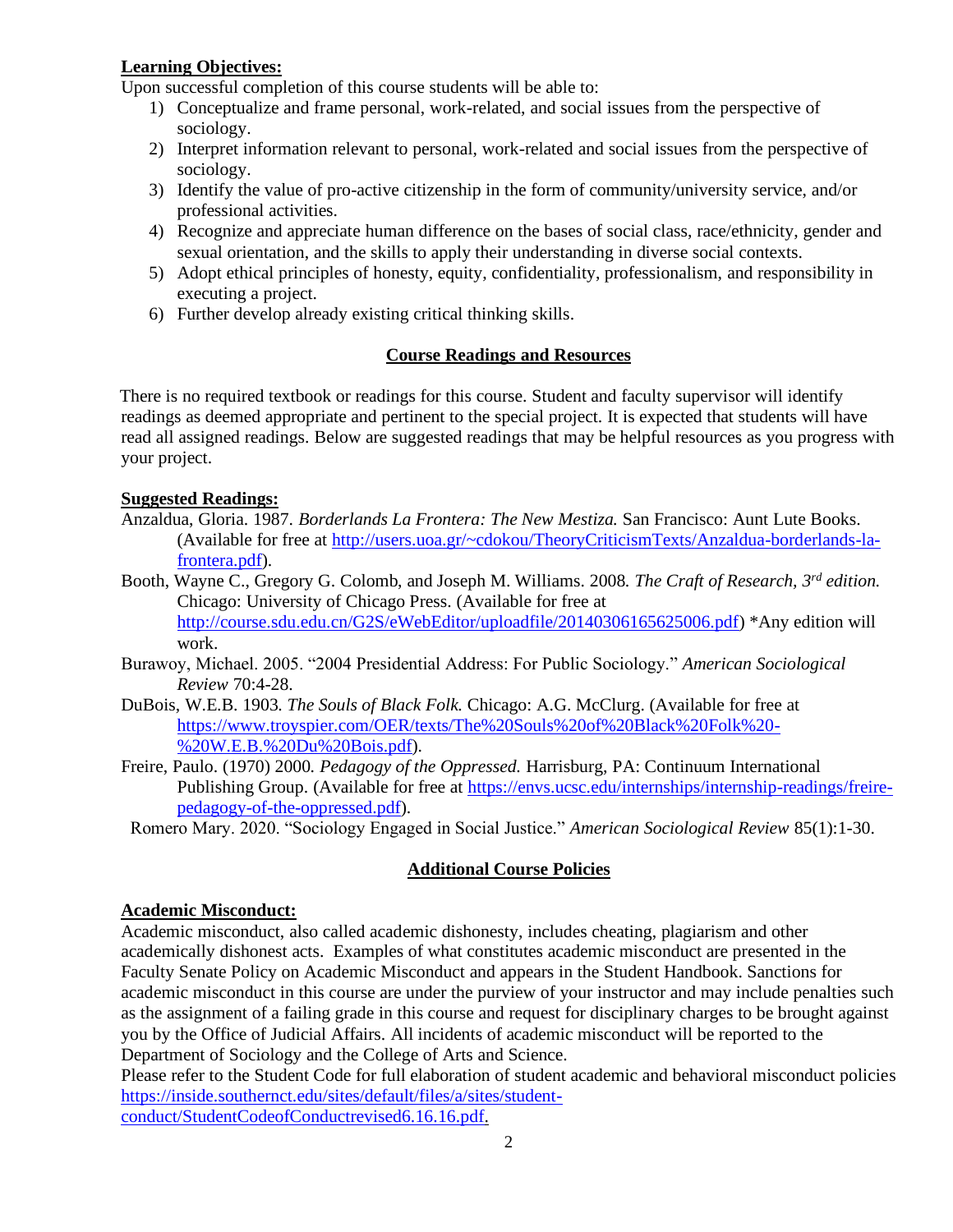### **Learning Objectives:**

Upon successful completion of this course students will be able to:

- 1) Conceptualize and frame personal, work-related, and social issues from the perspective of sociology.
- 2) Interpret information relevant to personal, work-related and social issues from the perspective of sociology.
- 3) Identify the value of pro-active citizenship in the form of community/university service, and/or professional activities.
- 4) Recognize and appreciate human difference on the bases of social class, race/ethnicity, gender and sexual orientation, and the skills to apply their understanding in diverse social contexts.
- 5) Adopt ethical principles of honesty, equity, confidentiality, professionalism, and responsibility in executing a project.
- 6) Further develop already existing critical thinking skills.

# **Course Readings and Resources**

There is no required textbook or readings for this course. Student and faculty supervisor will identify readings as deemed appropriate and pertinent to the special project. It is expected that students will have read all assigned readings. Below are suggested readings that may be helpful resources as you progress with your project.

### **Suggested Readings:**

- Anzaldua, Gloria. 1987. *Borderlands La Frontera: The New Mestiza.* San Francisco: Aunt Lute Books. (Available for free at [http://users.uoa.gr/~cdokou/TheoryCriticismTexts/Anzaldua-borderlands-la](http://users.uoa.gr/~cdokou/TheoryCriticismTexts/Anzaldua-borderlands-la-frontera.pdf)[frontera.pdf\)](http://users.uoa.gr/~cdokou/TheoryCriticismTexts/Anzaldua-borderlands-la-frontera.pdf).
- Booth, Wayne C., Gregory G. Colomb, and Joseph M. Williams. 2008. *The Craft of Research, 3rd edition.*  Chicago: University of Chicago Press. (Available for free at [http://course.sdu.edu.cn/G2S/eWebEditor/uploadfile/20140306165625006.pdf\)](http://course.sdu.edu.cn/G2S/eWebEditor/uploadfile/20140306165625006.pdf) \*Any edition will work.
- Burawoy, Michael. 2005. "2004 Presidential Address: For Public Sociology." *American Sociological Review* 70:4-28.
- DuBois, W.E.B. 1903. *The Souls of Black Folk.* Chicago: A.G. McClurg. (Available for free at [https://www.troyspier.com/OER/texts/The%20Souls%20of%20Black%20Folk%20-](https://www.troyspier.com/OER/texts/The%20Souls%20of%20Black%20Folk%20-%20W.E.B.%20Du%20Bois.pdf) [%20W.E.B.%20Du%20Bois.pdf\)](https://www.troyspier.com/OER/texts/The%20Souls%20of%20Black%20Folk%20-%20W.E.B.%20Du%20Bois.pdf).
- Freire, Paulo. (1970) 2000. *Pedagogy of the Oppressed.* Harrisburg, PA: Continuum International Publishing Group. (Available for free at [https://envs.ucsc.edu/internships/internship-readings/freire](https://envs.ucsc.edu/internships/internship-readings/freire-pedagogy-of-the-oppressed.pdf)[pedagogy-of-the-oppressed.pdf\)](https://envs.ucsc.edu/internships/internship-readings/freire-pedagogy-of-the-oppressed.pdf).

Romero Mary. 2020. "Sociology Engaged in Social Justice." *American Sociological Review* 85(1):1-30.

# **Additional Course Policies**

# **Academic Misconduct:**

Academic misconduct, also called academic dishonesty, includes cheating, plagiarism and other academically dishonest acts. Examples of what constitutes academic misconduct are presented in the Faculty Senate Policy on Academic Misconduct and appears in the Student Handbook. Sanctions for academic misconduct in this course are under the purview of your instructor and may include penalties such as the assignment of a failing grade in this course and request for disciplinary charges to be brought against you by the Office of Judicial Affairs. All incidents of academic misconduct will be reported to the Department of Sociology and the College of Arts and Science.

Please refer to the Student Code for full elaboration of student academic and behavioral misconduct policies [https://inside.southernct.edu/sites/default/files/a/sites/student](https://inside.southernct.edu/sites/default/files/a/sites/student-conduct/StudentCodeofConductrevised6.16.16.pdf)[conduct/StudentCodeofConductrevised6.16.16.pdf.](https://inside.southernct.edu/sites/default/files/a/sites/student-conduct/StudentCodeofConductrevised6.16.16.pdf)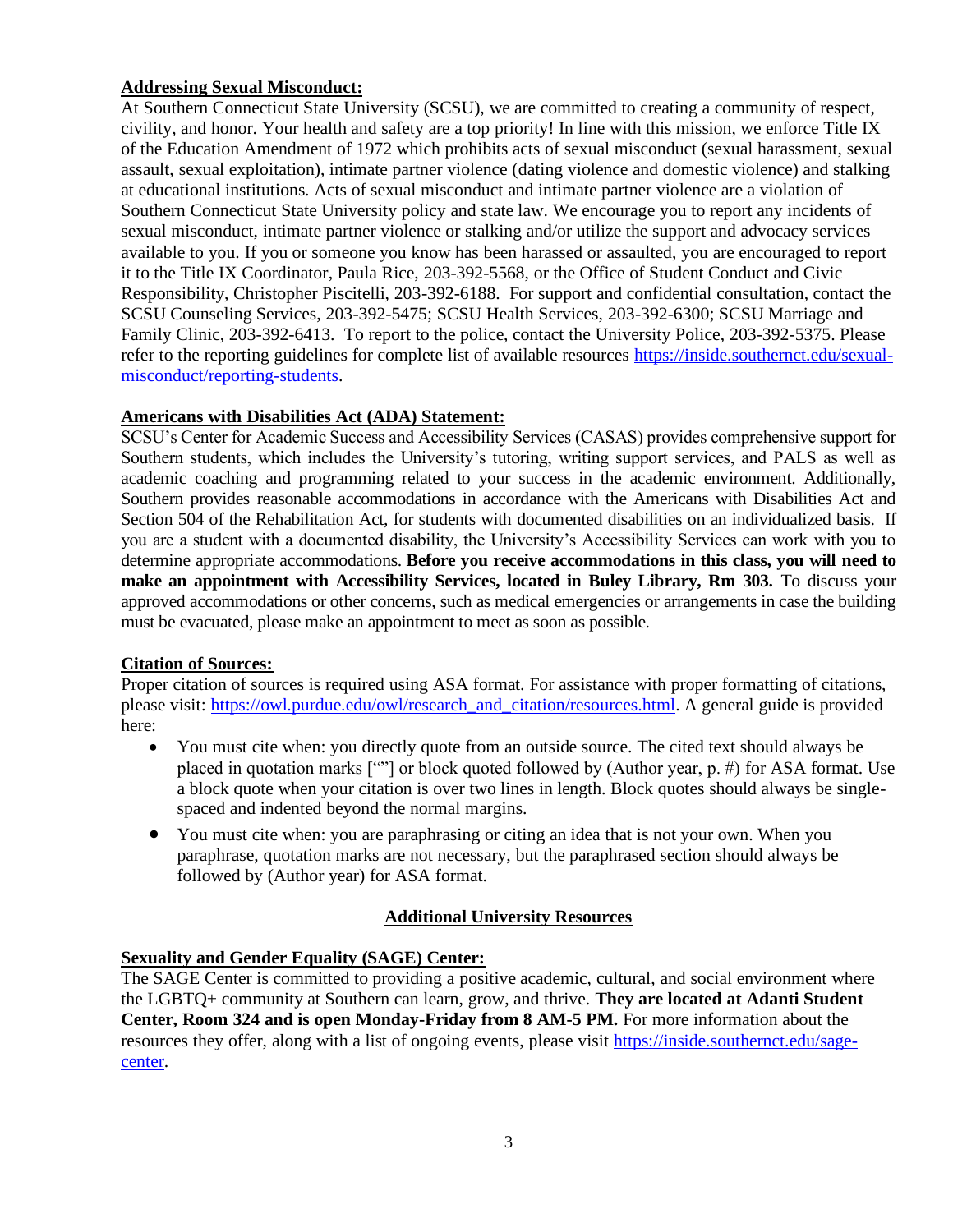#### **Addressing Sexual Misconduct:**

At Southern Connecticut State University (SCSU), we are committed to creating a community of respect, civility, and honor. Your health and safety are a top priority! In line with this mission, we enforce Title IX of the Education Amendment of 1972 which prohibits acts of sexual misconduct (sexual harassment, sexual assault, sexual exploitation), intimate partner violence (dating violence and domestic violence) and stalking at educational institutions. Acts of sexual misconduct and intimate partner violence are a violation of Southern Connecticut State University policy and state law. We encourage you to report any incidents of sexual misconduct, intimate partner violence or stalking and/or utilize the support and advocacy services available to you. If you or someone you know has been harassed or assaulted, you are encouraged to report it to the Title IX Coordinator, Paula Rice, 203-392-5568, or the Office of Student Conduct and Civic Responsibility, Christopher Piscitelli, 203-392-6188. For support and confidential consultation, contact the SCSU Counseling Services, 203-392-5475; SCSU Health Services, 203-392-6300; SCSU Marriage and Family Clinic, 203-392-6413. To report to the police, contact the University Police, 203-392-5375. Please refer to the reporting guidelines for complete list of available resources [https://inside.southernct.edu/sexual](https://inside.southernct.edu/sexual-misconduct/reporting-students)[misconduct/reporting-students.](https://inside.southernct.edu/sexual-misconduct/reporting-students)

#### **Americans with Disabilities Act (ADA) Statement:**

SCSU's Center for Academic Success and Accessibility Services (CASAS) provides comprehensive support for Southern students, which includes the University's tutoring, writing support services, and PALS as well as academic coaching and programming related to your success in the academic environment. Additionally, Southern provides reasonable accommodations in accordance with the Americans with Disabilities Act and Section 504 of the Rehabilitation Act, for students with documented disabilities on an individualized basis. If you are a student with a documented disability, the University's Accessibility Services can work with you to determine appropriate accommodations. **Before you receive accommodations in this class, you will need to make an appointment with Accessibility Services, located in Buley Library, Rm 303.** To discuss your approved accommodations or other concerns, such as medical emergencies or arrangements in case the building must be evacuated, please make an appointment to meet as soon as possible.

#### **Citation of Sources:**

Proper citation of sources is required using ASA format. For assistance with proper formatting of citations, please visit: [https://owl.purdue.edu/owl/research\\_and\\_citation/resources.html.](https://owl.purdue.edu/owl/research_and_citation/resources.html) A general guide is provided here:

- You must cite when: you directly quote from an outside source. The cited text should always be placed in quotation marks [""] or block quoted followed by (Author year, p. #) for ASA format. Use a block quote when your citation is over two lines in length. Block quotes should always be singlespaced and indented beyond the normal margins.
- You must cite when: you are paraphrasing or citing an idea that is not your own. When you paraphrase, quotation marks are not necessary, but the paraphrased section should always be followed by (Author year) for ASA format.

#### **Additional University Resources**

#### **Sexuality and Gender Equality (SAGE) Center:**

The SAGE Center is committed to providing a positive academic, cultural, and social environment where the LGBTQ+ community at Southern can learn, grow, and thrive. **They are located at Adanti Student Center, Room 324 and is open Monday-Friday from 8 AM-5 PM.** For more information about the resources they offer, along with a list of ongoing events, please visit [https://inside.southernct.edu/sage](https://inside.southernct.edu/sage-center)[center.](https://inside.southernct.edu/sage-center)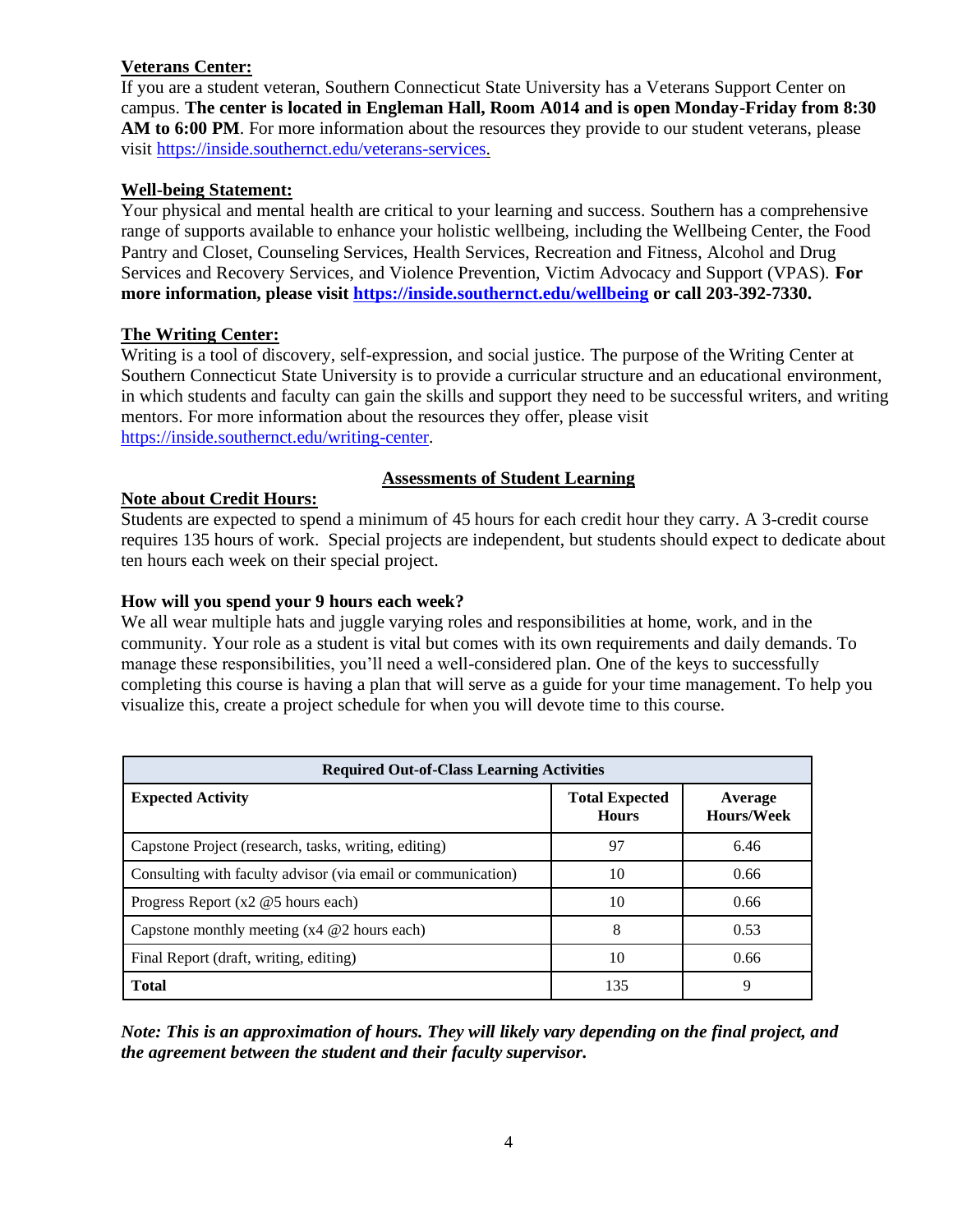### **Veterans Center:**

If you are a student veteran, Southern Connecticut State University has a Veterans Support Center on campus. **The center is located in Engleman Hall, Room A014 and is open Monday-Friday from 8:30 AM to 6:00 PM**. For more information about the resources they provide to our student veterans, please visit [https://inside.southernct.edu/veterans-services.](https://inside.southernct.edu/veterans-services)

#### **Well-being Statement:**

Your physical and mental health are critical to your learning and success. Southern has a comprehensive range of supports available to enhance your holistic wellbeing, including the Wellbeing Center, the Food Pantry and Closet, Counseling Services, Health Services, Recreation and Fitness, Alcohol and Drug Services and Recovery Services, and Violence Prevention, Victim Advocacy and Support (VPAS). **For more information, please visit<https://inside.southernct.edu/wellbeing> or call 203-392-7330.**

#### **The Writing Center:**

Writing is a tool of discovery, self-expression, and social justice. The purpose of the Writing Center at Southern Connecticut State University is to provide a curricular structure and an educational environment, in which students and faculty can gain the skills and support they need to be successful writers, and writing mentors. For more information about the resources they offer, please visit [https://inside.southernct.edu/writing-center.](https://inside.southernct.edu/writing-center)

#### **Assessments of Student Learning**

#### **Note about Credit Hours:**

Students are expected to spend a minimum of 45 hours for each credit hour they carry. A 3-credit course requires 135 hours of work. Special projects are independent, but students should expect to dedicate about ten hours each week on their special project.

#### **How will you spend your 9 hours each week?**

We all wear multiple hats and juggle varying roles and responsibilities at home, work, and in the community. Your role as a student is vital but comes with its own requirements and daily demands. To manage these responsibilities, you'll need a well-considered plan. One of the keys to successfully completing this course is having a plan that will serve as a guide for your time management. To help you visualize this, create a project schedule for when you will devote time to this course.

| <b>Required Out-of-Class Learning Activities</b>             |                                       |                              |  |
|--------------------------------------------------------------|---------------------------------------|------------------------------|--|
| <b>Expected Activity</b>                                     | <b>Total Expected</b><br><b>Hours</b> | Average<br><b>Hours/Week</b> |  |
| Capstone Project (research, tasks, writing, editing)         | 97                                    | 6.46                         |  |
| Consulting with faculty advisor (via email or communication) | 10                                    | 0.66                         |  |
| Progress Report $(x2 \tQ5$ hours each)                       | 10                                    | 0.66                         |  |
| Capstone monthly meeting $(x4 \n\mathcal{Q}2$ hours each)    | 8                                     | 0.53                         |  |
| Final Report (draft, writing, editing)                       | 10                                    | 0.66                         |  |
| <b>Total</b>                                                 | 135                                   | 9                            |  |

*Note: This is an approximation of hours. They will likely vary depending on the final project, and the agreement between the student and their faculty supervisor.*